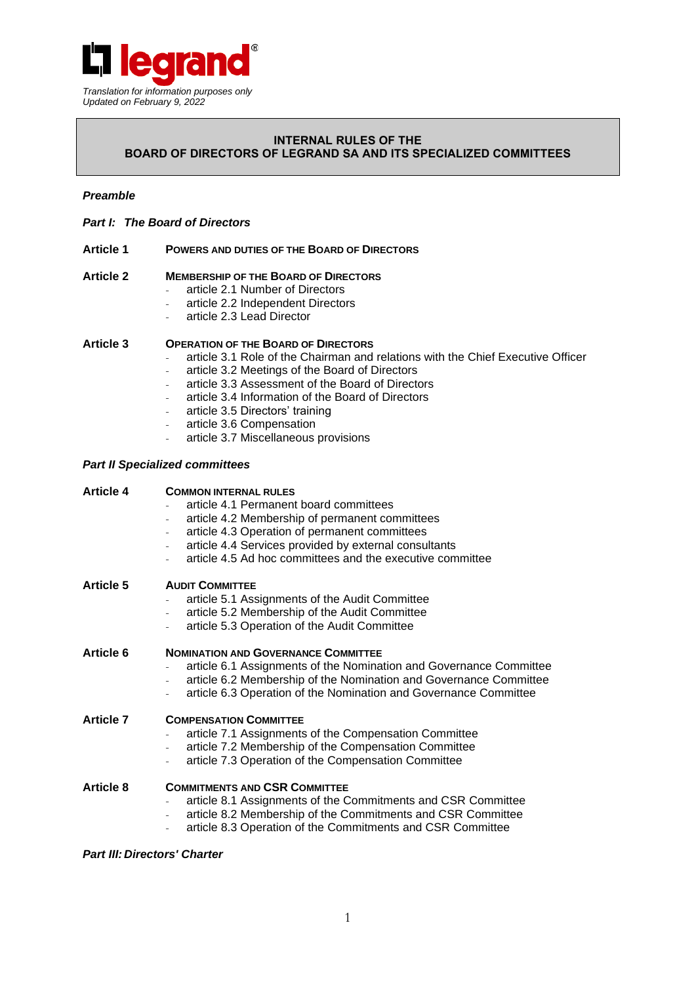

## **INTERNAL RULES OF THE BOARD OF DIRECTORS OF LEGRAND SA AND ITS SPECIALIZED COMMITTEES**

## *Preamble*

- *Part I: The Board of Directors*
- **Article 1 POWERS AND DUTIES OF THE BOARD OF DIRECTORS**

### **Article 2 MEMBERSHIP OF THE BOARD OF DIRECTORS**

- article 2.1 Number of Directors
- article 2.2 Independent Directors
- article 2.3 Lead Director

### **Article 3 OPERATION OF THE BOARD OF DIRECTORS**

- article 3.1 Role of the Chairman and relations with the Chief Executive Officer
- article 3.2 Meetings of the Board of Directors
- article 3.3 Assessment of the Board of Directors
- article 3.4 Information of the Board of Directors
- article 3.5 Directors' training
- article 3.6 Compensation
- article 3.7 Miscellaneous provisions

### *Part II Specialized committees*

| <b>Article 4</b> | <b>COMMON INTERNAL RULES</b><br>article 4.1 Permanent board committees<br>article 4.2 Membership of permanent committees<br>article 4.3 Operation of permanent committees<br>article 4.4 Services provided by external consultants<br>article 4.5 Ad hoc committees and the executive committee |
|------------------|-------------------------------------------------------------------------------------------------------------------------------------------------------------------------------------------------------------------------------------------------------------------------------------------------|
| <b>Article 5</b> | <b>AUDIT COMMITTEE</b><br>article 5.1 Assignments of the Audit Committee<br>article 5.2 Membership of the Audit Committee<br>article 5.3 Operation of the Audit Committee                                                                                                                       |
| <b>Article 6</b> | <b>NOMINATION AND GOVERNANCE COMMITTEE</b><br>article 6.1 Assignments of the Nomination and Governance Committee<br>article 6.2 Membership of the Nomination and Governance Committee<br>article 6.3 Operation of the Nomination and Governance Committee                                       |
| <b>Article 7</b> | <b>COMPENSATION COMMITTEE</b><br>article 7.1 Assignments of the Compensation Committee<br>article 7.2 Membership of the Compensation Committee<br>article 7.3 Operation of the Compensation Committee                                                                                           |
| <b>Article 8</b> | <b>COMMITMENTS AND CSR COMMITTEE</b><br>article 8.1 Assignments of the Commitments and CSR Committee<br>article 8.2 Membership of the Commitments and CSR Committee<br>$\overline{\phantom{a}}$<br>article 8.3 Operation of the Commitments and CSR Committee                                   |

#### *Part III: Directors' Charter*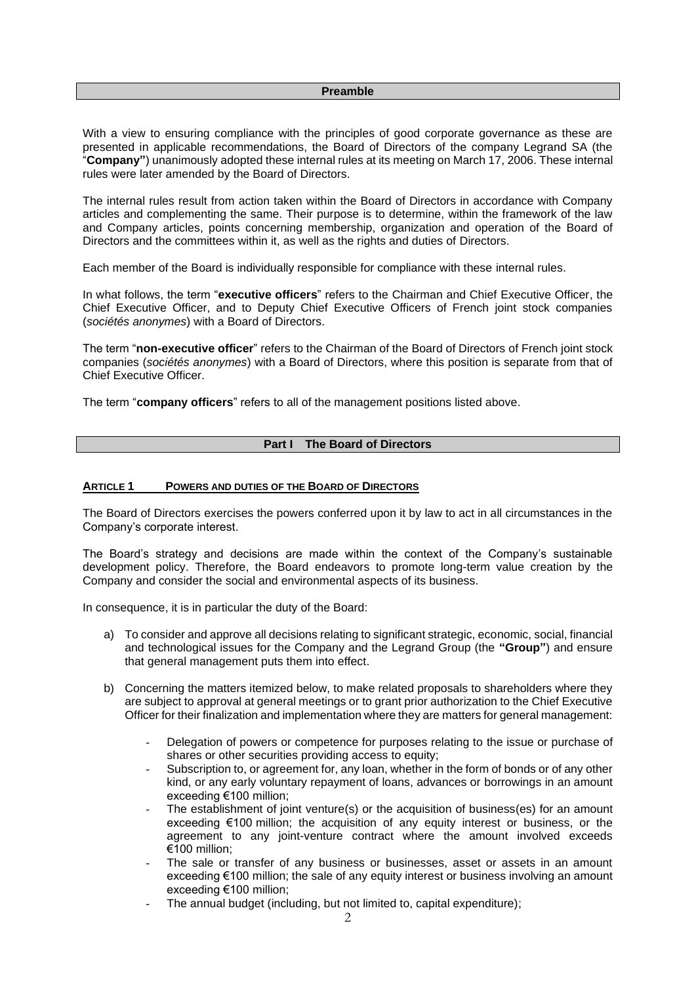#### **Preamble**

With a view to ensuring compliance with the principles of good corporate governance as these are presented in applicable recommendations, the Board of Directors of the company Legrand SA (the "**Company"**) unanimously adopted these internal rules at its meeting on March 17, 2006. These internal rules were later amended by the Board of Directors.

The internal rules result from action taken within the Board of Directors in accordance with Company articles and complementing the same. Their purpose is to determine, within the framework of the law and Company articles, points concerning membership, organization and operation of the Board of Directors and the committees within it, as well as the rights and duties of Directors.

Each member of the Board is individually responsible for compliance with these internal rules.

In what follows, the term "**executive officers**" refers to the Chairman and Chief Executive Officer, the Chief Executive Officer, and to Deputy Chief Executive Officers of French joint stock companies (*sociétés anonymes*) with a Board of Directors.

The term "**non-executive officer**" refers to the Chairman of the Board of Directors of French joint stock companies (*sociétés anonymes*) with a Board of Directors, where this position is separate from that of Chief Executive Officer.

The term "**company officers**" refers to all of the management positions listed above.

### **Part I The Board of Directors**

#### **ARTICLE 1 POWERS AND DUTIES OF THE BOARD OF DIRECTORS**

The Board of Directors exercises the powers conferred upon it by law to act in all circumstances in the Company's corporate interest.

The Board's strategy and decisions are made within the context of the Company's sustainable development policy. Therefore, the Board endeavors to promote long-term value creation by the Company and consider the social and environmental aspects of its business.

In consequence, it is in particular the duty of the Board:

- a) To consider and approve all decisions relating to significant strategic, economic, social, financial and technological issues for the Company and the Legrand Group (the **"Group"**) and ensure that general management puts them into effect.
- b) Concerning the matters itemized below, to make related proposals to shareholders where they are subject to approval at general meetings or to grant prior authorization to the Chief Executive Officer for their finalization and implementation where they are matters for general management:
	- Delegation of powers or competence for purposes relating to the issue or purchase of shares or other securities providing access to equity;
	- Subscription to, or agreement for, any loan, whether in the form of bonds or of any other kind, or any early voluntary repayment of loans, advances or borrowings in an amount exceeding €100 million;
	- The establishment of joint venture(s) or the acquisition of business(es) for an amount exceeding €100 million; the acquisition of any equity interest or business, or the agreement to any joint-venture contract where the amount involved exceeds €100 million;
	- The sale or transfer of any business or businesses, asset or assets in an amount exceeding €100 million; the sale of any equity interest or business involving an amount exceeding €100 million;
	- The annual budget (including, but not limited to, capital expenditure);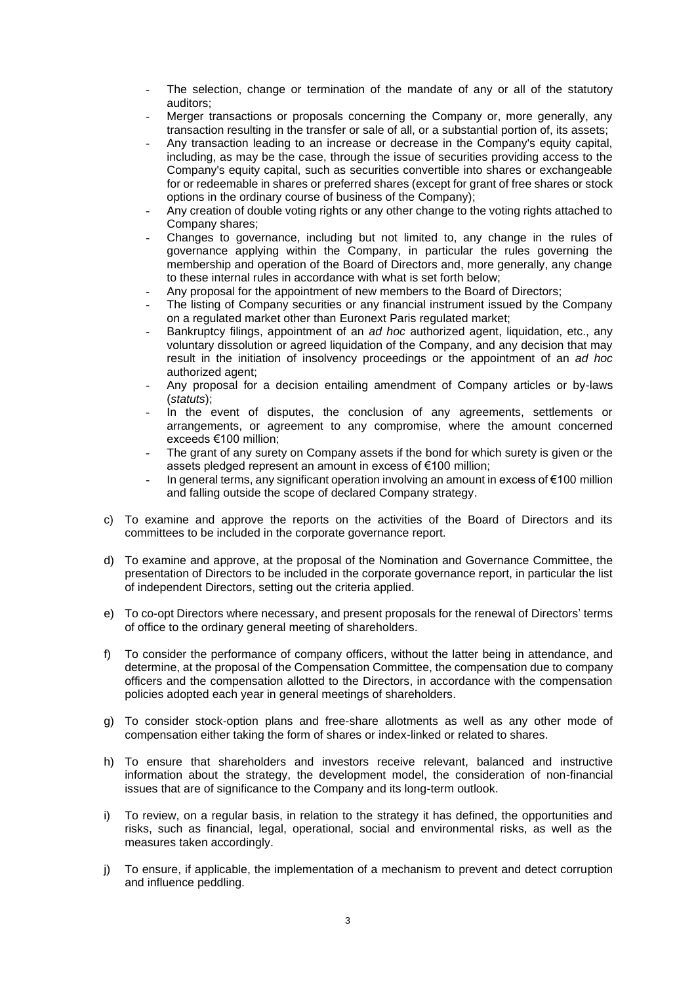- The selection, change or termination of the mandate of any or all of the statutory auditors;
- Merger transactions or proposals concerning the Company or, more generally, any transaction resulting in the transfer or sale of all, or a substantial portion of, its assets;
- Any transaction leading to an increase or decrease in the Company's equity capital, including, as may be the case, through the issue of securities providing access to the Company's equity capital, such as securities convertible into shares or exchangeable for or redeemable in shares or preferred shares (except for grant of free shares or stock options in the ordinary course of business of the Company);
- Any creation of double voting rights or any other change to the voting rights attached to Company shares;
- Changes to governance, including but not limited to, any change in the rules of governance applying within the Company, in particular the rules governing the membership and operation of the Board of Directors and, more generally, any change to these internal rules in accordance with what is set forth below;
- Any proposal for the appointment of new members to the Board of Directors;
- The listing of Company securities or any financial instrument issued by the Company on a regulated market other than Euronext Paris regulated market;
- Bankruptcy filings, appointment of an *ad hoc* authorized agent, liquidation, etc., any voluntary dissolution or agreed liquidation of the Company, and any decision that may result in the initiation of insolvency proceedings or the appointment of an *ad hoc* authorized agent;
- Any proposal for a decision entailing amendment of Company articles or by-laws (*statuts*);
- In the event of disputes, the conclusion of any agreements, settlements or arrangements, or agreement to any compromise, where the amount concerned exceeds €100 million;
- The grant of any surety on Company assets if the bond for which surety is given or the assets pledged represent an amount in excess of €100 million;
- In general terms, any significant operation involving an amount in excess of €100 million and falling outside the scope of declared Company strategy.
- c) To examine and approve the reports on the activities of the Board of Directors and its committees to be included in the corporate governance report.
- d) To examine and approve, at the proposal of the Nomination and Governance Committee, the presentation of Directors to be included in the corporate governance report, in particular the list of independent Directors, setting out the criteria applied.
- e) To co-opt Directors where necessary, and present proposals for the renewal of Directors' terms of office to the ordinary general meeting of shareholders.
- f) To consider the performance of company officers, without the latter being in attendance, and determine, at the proposal of the Compensation Committee, the compensation due to company officers and the compensation allotted to the Directors, in accordance with the compensation policies adopted each year in general meetings of shareholders.
- g) To consider stock-option plans and free-share allotments as well as any other mode of compensation either taking the form of shares or index-linked or related to shares.
- h) To ensure that shareholders and investors receive relevant, balanced and instructive information about the strategy, the development model, the consideration of non-financial issues that are of significance to the Company and its long-term outlook.
- i) To review, on a regular basis, in relation to the strategy it has defined, the opportunities and risks, such as financial, legal, operational, social and environmental risks, as well as the measures taken accordingly.
- j) To ensure, if applicable, the implementation of a mechanism to prevent and detect corruption and influence peddling.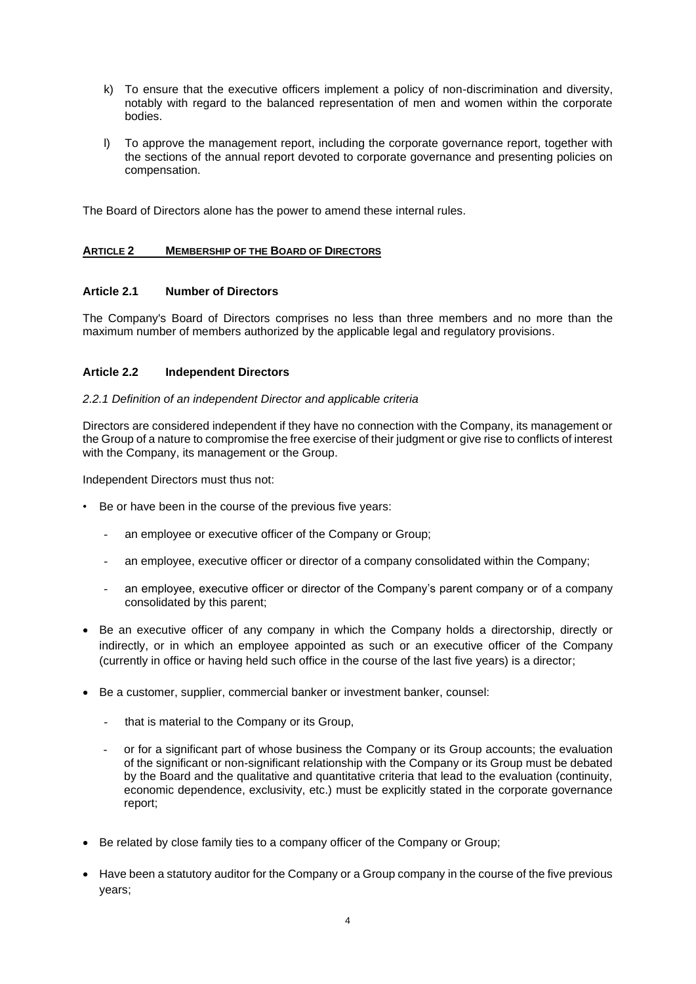- k) To ensure that the executive officers implement a policy of non-discrimination and diversity, notably with regard to the balanced representation of men and women within the corporate bodies.
- l) To approve the management report, including the corporate governance report, together with the sections of the annual report devoted to corporate governance and presenting policies on compensation.

The Board of Directors alone has the power to amend these internal rules.

## **ARTICLE 2 MEMBERSHIP OF THE BOARD OF DIRECTORS**

# **Article 2.1 Number of Directors**

The Company's Board of Directors comprises no less than three members and no more than the maximum number of members authorized by the applicable legal and regulatory provisions.

## **Article 2.2 Independent Directors**

### *2.2.1 Definition of an independent Director and applicable criteria*

Directors are considered independent if they have no connection with the Company, its management or the Group of a nature to compromise the free exercise of their judgment or give rise to conflicts of interest with the Company, its management or the Group.

Independent Directors must thus not:

- Be or have been in the course of the previous five years:
	- an employee or executive officer of the Company or Group;
	- an employee, executive officer or director of a company consolidated within the Company;
	- an employee, executive officer or director of the Company's parent company or of a company consolidated by this parent;
- Be an executive officer of any company in which the Company holds a directorship, directly or indirectly, or in which an employee appointed as such or an executive officer of the Company (currently in office or having held such office in the course of the last five years) is a director;
- Be a customer, supplier, commercial banker or investment banker, counsel:
	- that is material to the Company or its Group,
	- or for a significant part of whose business the Company or its Group accounts; the evaluation of the significant or non-significant relationship with the Company or its Group must be debated by the Board and the qualitative and quantitative criteria that lead to the evaluation (continuity, economic dependence, exclusivity, etc.) must be explicitly stated in the corporate governance report;
- Be related by close family ties to a company officer of the Company or Group;
- Have been a statutory auditor for the Company or a Group company in the course of the five previous years;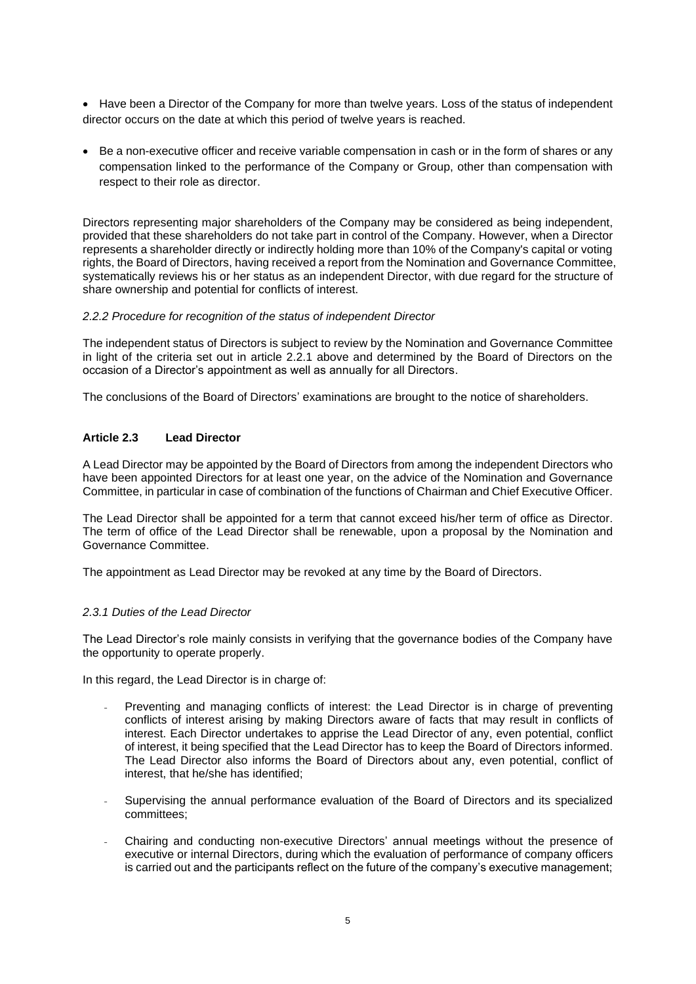• Have been a Director of the Company for more than twelve years. Loss of the status of independent director occurs on the date at which this period of twelve years is reached.

• Be a non-executive officer and receive variable compensation in cash or in the form of shares or any compensation linked to the performance of the Company or Group, other than compensation with respect to their role as director.

Directors representing major shareholders of the Company may be considered as being independent, provided that these shareholders do not take part in control of the Company. However, when a Director represents a shareholder directly or indirectly holding more than 10% of the Company's capital or voting rights, the Board of Directors, having received a report from the Nomination and Governance Committee, systematically reviews his or her status as an independent Director, with due regard for the structure of share ownership and potential for conflicts of interest.

## *2.2.2 Procedure for recognition of the status of independent Director*

The independent status of Directors is subject to review by the Nomination and Governance Committee in light of the criteria set out in article 2.2.1 above and determined by the Board of Directors on the occasion of a Director's appointment as well as annually for all Directors.

The conclusions of the Board of Directors' examinations are brought to the notice of shareholders.

# **Article 2.3 Lead Director**

A Lead Director may be appointed by the Board of Directors from among the independent Directors who have been appointed Directors for at least one year, on the advice of the Nomination and Governance Committee, in particular in case of combination of the functions of Chairman and Chief Executive Officer.

The Lead Director shall be appointed for a term that cannot exceed his/her term of office as Director. The term of office of the Lead Director shall be renewable, upon a proposal by the Nomination and Governance Committee.

The appointment as Lead Director may be revoked at any time by the Board of Directors.

# *2.3.1 Duties of the Lead Director*

The Lead Director's role mainly consists in verifying that the governance bodies of the Company have the opportunity to operate properly.

In this regard, the Lead Director is in charge of:

- Preventing and managing conflicts of interest: the Lead Director is in charge of preventing conflicts of interest arising by making Directors aware of facts that may result in conflicts of interest. Each Director undertakes to apprise the Lead Director of any, even potential, conflict of interest, it being specified that the Lead Director has to keep the Board of Directors informed. The Lead Director also informs the Board of Directors about any, even potential, conflict of interest, that he/she has identified;
- Supervising the annual performance evaluation of the Board of Directors and its specialized committees;
- Chairing and conducting non-executive Directors' annual meetings without the presence of executive or internal Directors, during which the evaluation of performance of company officers is carried out and the participants reflect on the future of the company's executive management;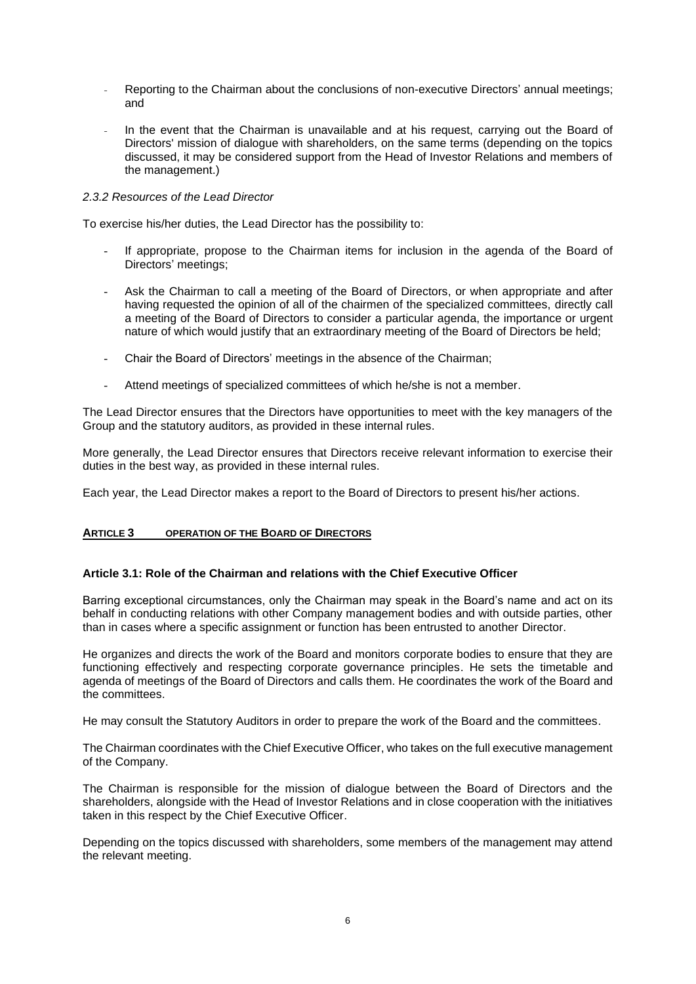- Reporting to the Chairman about the conclusions of non-executive Directors' annual meetings; and
- In the event that the Chairman is unavailable and at his request, carrying out the Board of Directors' mission of dialogue with shareholders, on the same terms (depending on the topics discussed, it may be considered support from the Head of Investor Relations and members of the management.)

### *2.3.2 Resources of the Lead Director*

To exercise his/her duties, the Lead Director has the possibility to:

- If appropriate, propose to the Chairman items for inclusion in the agenda of the Board of Directors' meetings;
- Ask the Chairman to call a meeting of the Board of Directors, or when appropriate and after having requested the opinion of all of the chairmen of the specialized committees, directly call a meeting of the Board of Directors to consider a particular agenda, the importance or urgent nature of which would justify that an extraordinary meeting of the Board of Directors be held;
- Chair the Board of Directors' meetings in the absence of the Chairman;
- Attend meetings of specialized committees of which he/she is not a member.

The Lead Director ensures that the Directors have opportunities to meet with the key managers of the Group and the statutory auditors, as provided in these internal rules.

More generally, the Lead Director ensures that Directors receive relevant information to exercise their duties in the best way, as provided in these internal rules.

Each year, the Lead Director makes a report to the Board of Directors to present his/her actions.

### **ARTICLE 3 OPERATION OF THE BOARD OF DIRECTORS**

### **Article 3.1: Role of the Chairman and relations with the Chief Executive Officer**

Barring exceptional circumstances, only the Chairman may speak in the Board's name and act on its behalf in conducting relations with other Company management bodies and with outside parties, other than in cases where a specific assignment or function has been entrusted to another Director.

He organizes and directs the work of the Board and monitors corporate bodies to ensure that they are functioning effectively and respecting corporate governance principles. He sets the timetable and agenda of meetings of the Board of Directors and calls them. He coordinates the work of the Board and the committees.

He may consult the Statutory Auditors in order to prepare the work of the Board and the committees.

The Chairman coordinates with the Chief Executive Officer, who takes on the full executive management of the Company.

The Chairman is responsible for the mission of dialogue between the Board of Directors and the shareholders, alongside with the Head of Investor Relations and in close cooperation with the initiatives taken in this respect by the Chief Executive Officer.

Depending on the topics discussed with shareholders, some members of the management may attend the relevant meeting.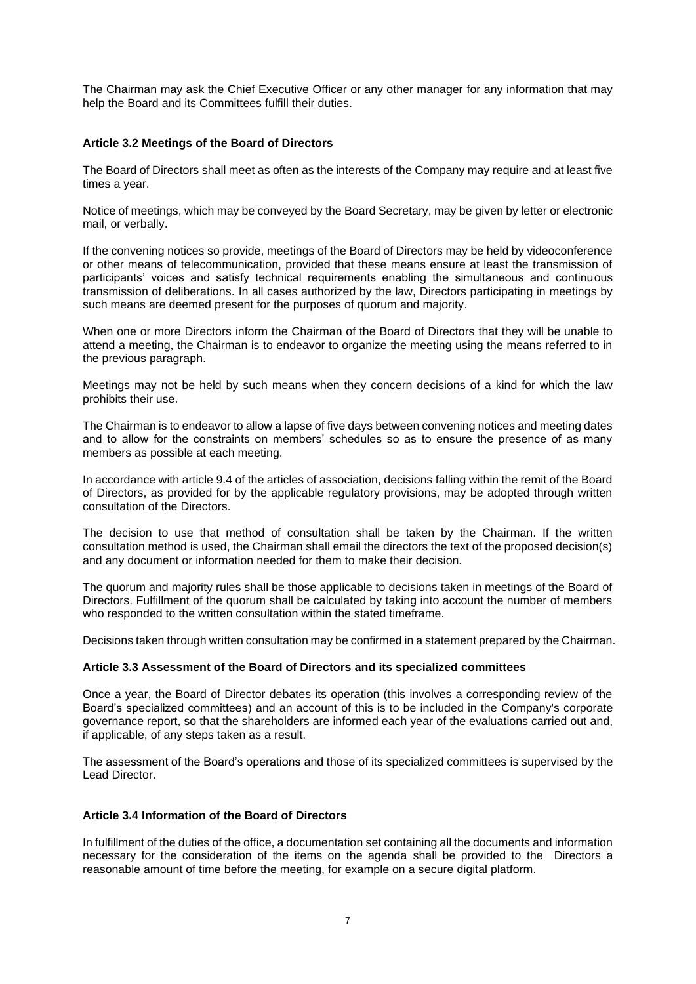The Chairman may ask the Chief Executive Officer or any other manager for any information that may help the Board and its Committees fulfill their duties.

## **Article 3.2 Meetings of the Board of Directors**

The Board of Directors shall meet as often as the interests of the Company may require and at least five times a year.

Notice of meetings, which may be conveyed by the Board Secretary, may be given by letter or electronic mail, or verbally.

If the convening notices so provide, meetings of the Board of Directors may be held by videoconference or other means of telecommunication, provided that these means ensure at least the transmission of participants' voices and satisfy technical requirements enabling the simultaneous and continuous transmission of deliberations. In all cases authorized by the law, Directors participating in meetings by such means are deemed present for the purposes of quorum and majority.

When one or more Directors inform the Chairman of the Board of Directors that they will be unable to attend a meeting, the Chairman is to endeavor to organize the meeting using the means referred to in the previous paragraph.

Meetings may not be held by such means when they concern decisions of a kind for which the law prohibits their use.

The Chairman is to endeavor to allow a lapse of five days between convening notices and meeting dates and to allow for the constraints on members' schedules so as to ensure the presence of as many members as possible at each meeting.

In accordance with article 9.4 of the articles of association, decisions falling within the remit of the Board of Directors, as provided for by the applicable regulatory provisions, may be adopted through written consultation of the Directors.

The decision to use that method of consultation shall be taken by the Chairman. If the written consultation method is used, the Chairman shall email the directors the text of the proposed decision(s) and any document or information needed for them to make their decision.

The quorum and majority rules shall be those applicable to decisions taken in meetings of the Board of Directors. Fulfillment of the quorum shall be calculated by taking into account the number of members who responded to the written consultation within the stated timeframe.

Decisions taken through written consultation may be confirmed in a statement prepared by the Chairman.

### **Article 3.3 Assessment of the Board of Directors and its specialized committees**

Once a year, the Board of Director debates its operation (this involves a corresponding review of the Board's specialized committees) and an account of this is to be included in the Company's corporate governance report, so that the shareholders are informed each year of the evaluations carried out and, if applicable, of any steps taken as a result.

The assessment of the Board's operations and those of its specialized committees is supervised by the Lead Director.

### **Article 3.4 Information of the Board of Directors**

In fulfillment of the duties of the office, a documentation set containing all the documents and information necessary for the consideration of the items on the agenda shall be provided to the Directors a reasonable amount of time before the meeting, for example on a secure digital platform.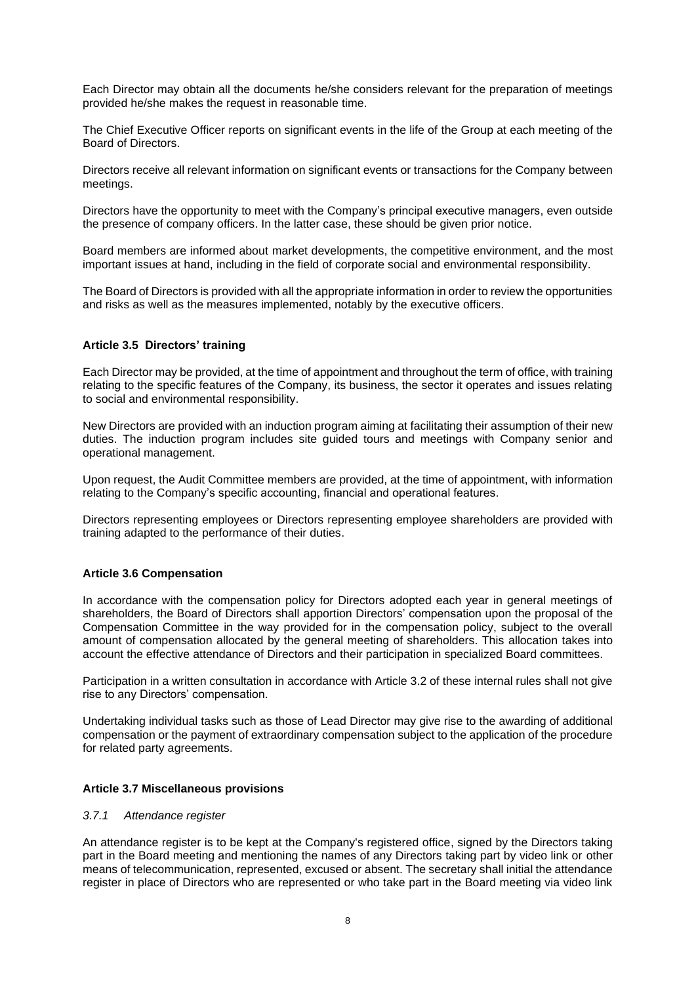Each Director may obtain all the documents he/she considers relevant for the preparation of meetings provided he/she makes the request in reasonable time.

The Chief Executive Officer reports on significant events in the life of the Group at each meeting of the Board of Directors.

Directors receive all relevant information on significant events or transactions for the Company between meetings.

Directors have the opportunity to meet with the Company's principal executive managers, even outside the presence of company officers. In the latter case, these should be given prior notice.

Board members are informed about market developments, the competitive environment, and the most important issues at hand, including in the field of corporate social and environmental responsibility.

The Board of Directors is provided with all the appropriate information in order to review the opportunities and risks as well as the measures implemented, notably by the executive officers.

## **Article 3.5 Directors' training**

Each Director may be provided, at the time of appointment and throughout the term of office, with training relating to the specific features of the Company, its business, the sector it operates and issues relating to social and environmental responsibility.

New Directors are provided with an induction program aiming at facilitating their assumption of their new duties. The induction program includes site guided tours and meetings with Company senior and operational management.

Upon request, the Audit Committee members are provided, at the time of appointment, with information relating to the Company's specific accounting, financial and operational features.

Directors representing employees or Directors representing employee shareholders are provided with training adapted to the performance of their duties.

### **Article 3.6 Compensation**

In accordance with the compensation policy for Directors adopted each year in general meetings of shareholders, the Board of Directors shall apportion Directors' compensation upon the proposal of the Compensation Committee in the way provided for in the compensation policy, subject to the overall amount of compensation allocated by the general meeting of shareholders. This allocation takes into account the effective attendance of Directors and their participation in specialized Board committees.

Participation in a written consultation in accordance with Article 3.2 of these internal rules shall not give rise to any Directors' compensation.

Undertaking individual tasks such as those of Lead Director may give rise to the awarding of additional compensation or the payment of extraordinary compensation subject to the application of the procedure for related party agreements.

### **Article 3.7 Miscellaneous provisions**

### *3.7.1 Attendance register*

An attendance register is to be kept at the Company's registered office, signed by the Directors taking part in the Board meeting and mentioning the names of any Directors taking part by video link or other means of telecommunication, represented, excused or absent. The secretary shall initial the attendance register in place of Directors who are represented or who take part in the Board meeting via video link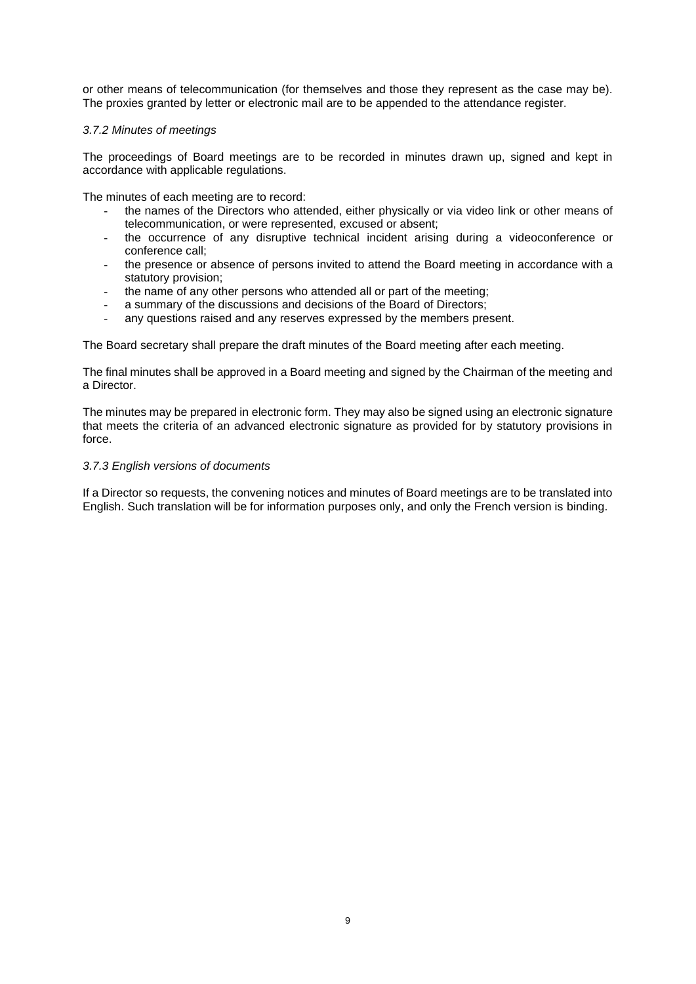or other means of telecommunication (for themselves and those they represent as the case may be). The proxies granted by letter or electronic mail are to be appended to the attendance register.

### *3.7.2 Minutes of meetings*

The proceedings of Board meetings are to be recorded in minutes drawn up, signed and kept in accordance with applicable regulations.

The minutes of each meeting are to record:

- the names of the Directors who attended, either physically or via video link or other means of telecommunication, or were represented, excused or absent;
- the occurrence of any disruptive technical incident arising during a videoconference or conference call;
- the presence or absence of persons invited to attend the Board meeting in accordance with a statutory provision;
- the name of any other persons who attended all or part of the meeting;
- a summary of the discussions and decisions of the Board of Directors:
- any questions raised and any reserves expressed by the members present.

The Board secretary shall prepare the draft minutes of the Board meeting after each meeting.

The final minutes shall be approved in a Board meeting and signed by the Chairman of the meeting and a Director.

The minutes may be prepared in electronic form. They may also be signed using an electronic signature that meets the criteria of an advanced electronic signature as provided for by statutory provisions in force.

### *3.7.3 English versions of documents*

If a Director so requests, the convening notices and minutes of Board meetings are to be translated into English. Such translation will be for information purposes only, and only the French version is binding.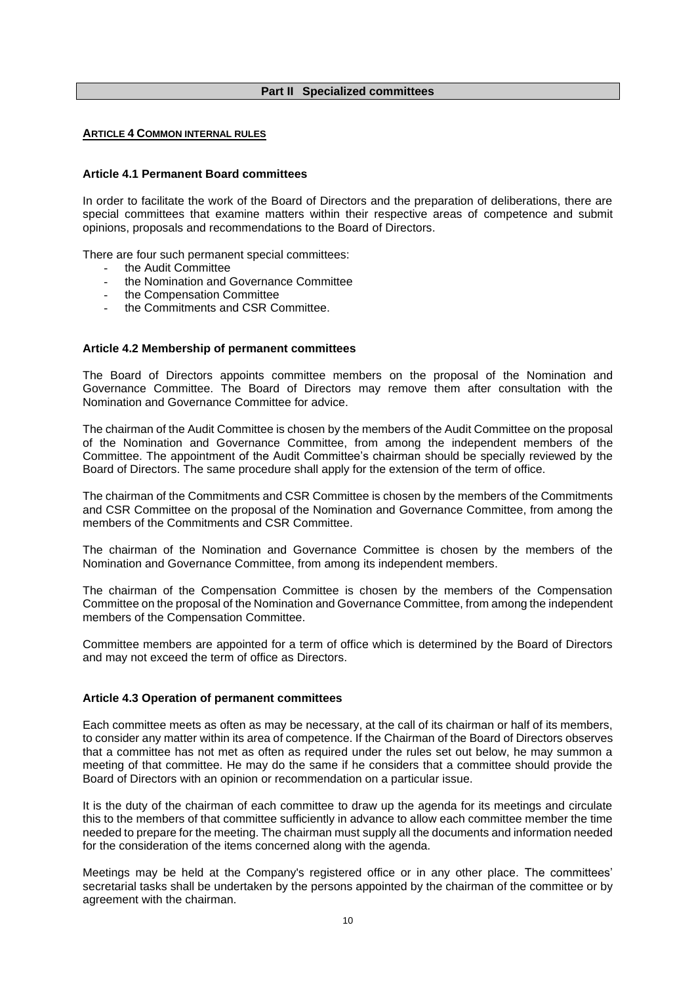### **Part II Specialized committees**

#### **ARTICLE 4 COMMON INTERNAL RULES**

### **Article 4.1 Permanent Board committees**

In order to facilitate the work of the Board of Directors and the preparation of deliberations, there are special committees that examine matters within their respective areas of competence and submit opinions, proposals and recommendations to the Board of Directors.

There are four such permanent special committees:

- the Audit Committee
- the Nomination and Governance Committee
- the Compensation Committee
- the Commitments and CSR Committee.

#### **Article 4.2 Membership of permanent committees**

The Board of Directors appoints committee members on the proposal of the Nomination and Governance Committee. The Board of Directors may remove them after consultation with the Nomination and Governance Committee for advice.

The chairman of the Audit Committee is chosen by the members of the Audit Committee on the proposal of the Nomination and Governance Committee, from among the independent members of the Committee. The appointment of the Audit Committee's chairman should be specially reviewed by the Board of Directors. The same procedure shall apply for the extension of the term of office.

The chairman of the Commitments and CSR Committee is chosen by the members of the Commitments and CSR Committee on the proposal of the Nomination and Governance Committee, from among the members of the Commitments and CSR Committee.

The chairman of the Nomination and Governance Committee is chosen by the members of the Nomination and Governance Committee, from among its independent members.

The chairman of the Compensation Committee is chosen by the members of the Compensation Committee on the proposal of the Nomination and Governance Committee, from among the independent members of the Compensation Committee.

Committee members are appointed for a term of office which is determined by the Board of Directors and may not exceed the term of office as Directors.

#### **Article 4.3 Operation of permanent committees**

Each committee meets as often as may be necessary, at the call of its chairman or half of its members, to consider any matter within its area of competence. If the Chairman of the Board of Directors observes that a committee has not met as often as required under the rules set out below, he may summon a meeting of that committee. He may do the same if he considers that a committee should provide the Board of Directors with an opinion or recommendation on a particular issue.

It is the duty of the chairman of each committee to draw up the agenda for its meetings and circulate this to the members of that committee sufficiently in advance to allow each committee member the time needed to prepare for the meeting. The chairman must supply all the documents and information needed for the consideration of the items concerned along with the agenda.

Meetings may be held at the Company's registered office or in any other place. The committees' secretarial tasks shall be undertaken by the persons appointed by the chairman of the committee or by agreement with the chairman.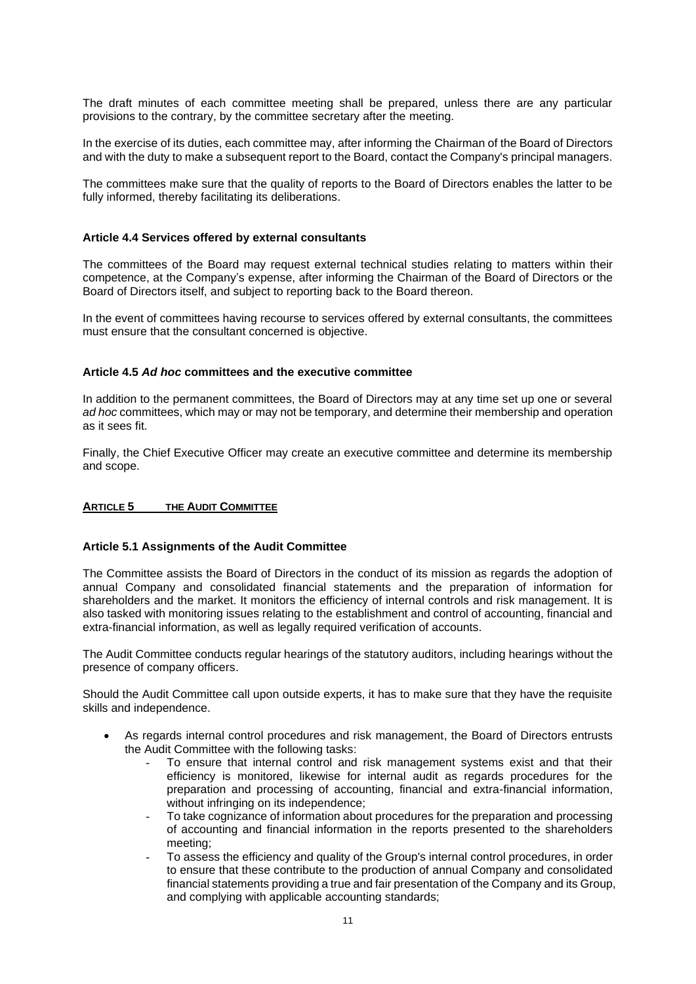The draft minutes of each committee meeting shall be prepared, unless there are any particular provisions to the contrary, by the committee secretary after the meeting.

In the exercise of its duties, each committee may, after informing the Chairman of the Board of Directors and with the duty to make a subsequent report to the Board, contact the Company's principal managers.

The committees make sure that the quality of reports to the Board of Directors enables the latter to be fully informed, thereby facilitating its deliberations.

### **Article 4.4 Services offered by external consultants**

The committees of the Board may request external technical studies relating to matters within their competence, at the Company's expense, after informing the Chairman of the Board of Directors or the Board of Directors itself, and subject to reporting back to the Board thereon.

In the event of committees having recourse to services offered by external consultants, the committees must ensure that the consultant concerned is objective.

#### **Article 4.5** *Ad hoc* **committees and the executive committee**

In addition to the permanent committees, the Board of Directors may at any time set up one or several *ad hoc* committees, which may or may not be temporary, and determine their membership and operation as it sees fit.

Finally, the Chief Executive Officer may create an executive committee and determine its membership and scope.

#### **ARTICLE 5 THE AUDIT COMMITTEE**

#### **Article 5.1 Assignments of the Audit Committee**

The Committee assists the Board of Directors in the conduct of its mission as regards the adoption of annual Company and consolidated financial statements and the preparation of information for shareholders and the market. It monitors the efficiency of internal controls and risk management. It is also tasked with monitoring issues relating to the establishment and control of accounting, financial and extra-financial information, as well as legally required verification of accounts.

The Audit Committee conducts regular hearings of the statutory auditors, including hearings without the presence of company officers.

Should the Audit Committee call upon outside experts, it has to make sure that they have the requisite skills and independence.

- As regards internal control procedures and risk management, the Board of Directors entrusts the Audit Committee with the following tasks:
	- To ensure that internal control and risk management systems exist and that their efficiency is monitored, likewise for internal audit as regards procedures for the preparation and processing of accounting, financial and extra-financial information, without infringing on its independence;
	- To take cognizance of information about procedures for the preparation and processing of accounting and financial information in the reports presented to the shareholders meeting;
	- To assess the efficiency and quality of the Group's internal control procedures, in order to ensure that these contribute to the production of annual Company and consolidated financial statements providing a true and fair presentation of the Company and its Group, and complying with applicable accounting standards;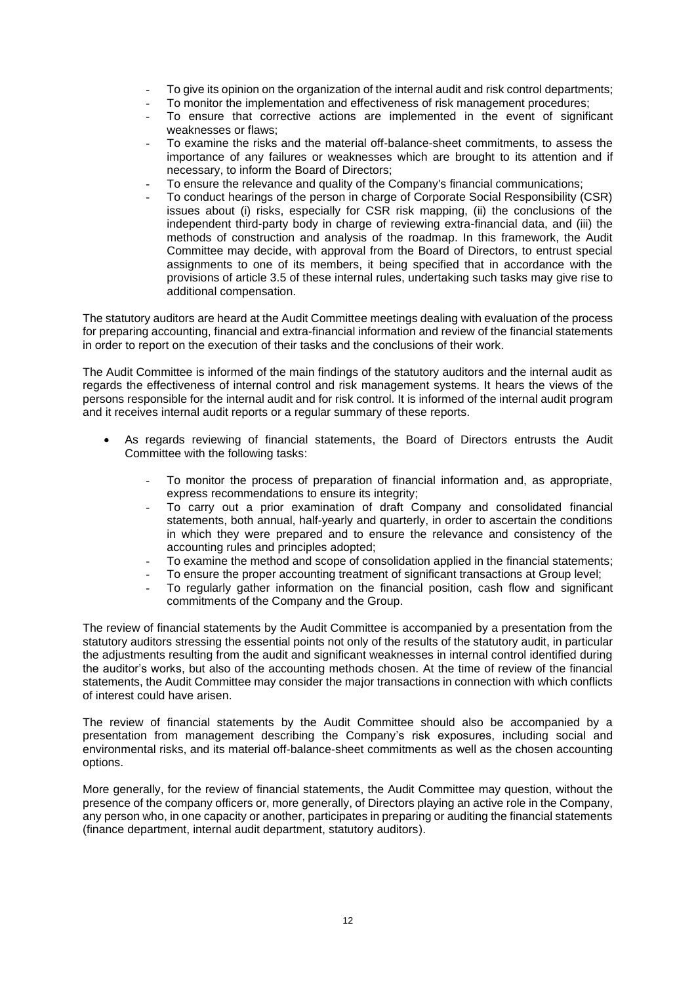- To give its opinion on the organization of the internal audit and risk control departments;
- To monitor the implementation and effectiveness of risk management procedures;
- To ensure that corrective actions are implemented in the event of significant weaknesses or flaws;
- To examine the risks and the material off-balance-sheet commitments, to assess the importance of any failures or weaknesses which are brought to its attention and if necessary, to inform the Board of Directors;
- To ensure the relevance and quality of the Company's financial communications;
- To conduct hearings of the person in charge of Corporate Social Responsibility (CSR) issues about (i) risks, especially for CSR risk mapping, (ii) the conclusions of the independent third-party body in charge of reviewing extra-financial data, and (iii) the methods of construction and analysis of the roadmap. In this framework, the Audit Committee may decide, with approval from the Board of Directors, to entrust special assignments to one of its members, it being specified that in accordance with the provisions of article 3.5 of these internal rules, undertaking such tasks may give rise to additional compensation.

The statutory auditors are heard at the Audit Committee meetings dealing with evaluation of the process for preparing accounting, financial and extra-financial information and review of the financial statements in order to report on the execution of their tasks and the conclusions of their work.

The Audit Committee is informed of the main findings of the statutory auditors and the internal audit as regards the effectiveness of internal control and risk management systems. It hears the views of the persons responsible for the internal audit and for risk control. It is informed of the internal audit program and it receives internal audit reports or a regular summary of these reports.

- As regards reviewing of financial statements, the Board of Directors entrusts the Audit Committee with the following tasks:
	- To monitor the process of preparation of financial information and, as appropriate, express recommendations to ensure its integrity;
	- To carry out a prior examination of draft Company and consolidated financial statements, both annual, half-yearly and quarterly, in order to ascertain the conditions in which they were prepared and to ensure the relevance and consistency of the accounting rules and principles adopted;
	- To examine the method and scope of consolidation applied in the financial statements;
	- To ensure the proper accounting treatment of significant transactions at Group level;
	- To regularly gather information on the financial position, cash flow and significant commitments of the Company and the Group.

The review of financial statements by the Audit Committee is accompanied by a presentation from the statutory auditors stressing the essential points not only of the results of the statutory audit, in particular the adjustments resulting from the audit and significant weaknesses in internal control identified during the auditor's works, but also of the accounting methods chosen. At the time of review of the financial statements, the Audit Committee may consider the major transactions in connection with which conflicts of interest could have arisen.

The review of financial statements by the Audit Committee should also be accompanied by a presentation from management describing the Company's risk exposures, including social and environmental risks, and its material off-balance-sheet commitments as well as the chosen accounting options.

More generally, for the review of financial statements, the Audit Committee may question, without the presence of the company officers or, more generally, of Directors playing an active role in the Company, any person who, in one capacity or another, participates in preparing or auditing the financial statements (finance department, internal audit department, statutory auditors).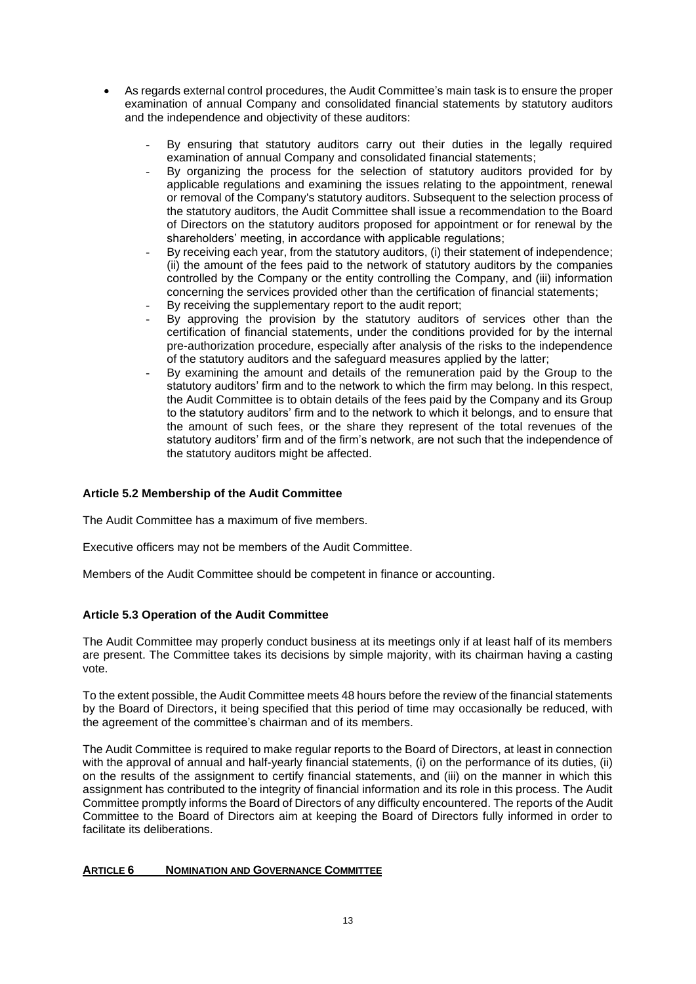- As regards external control procedures, the Audit Committee's main task is to ensure the proper examination of annual Company and consolidated financial statements by statutory auditors and the independence and objectivity of these auditors:
	- By ensuring that statutory auditors carry out their duties in the legally required examination of annual Company and consolidated financial statements;
	- By organizing the process for the selection of statutory auditors provided for by applicable regulations and examining the issues relating to the appointment, renewal or removal of the Company's statutory auditors. Subsequent to the selection process of the statutory auditors, the Audit Committee shall issue a recommendation to the Board of Directors on the statutory auditors proposed for appointment or for renewal by the shareholders' meeting, in accordance with applicable regulations;
	- By receiving each year, from the statutory auditors, (i) their statement of independence; (ii) the amount of the fees paid to the network of statutory auditors by the companies controlled by the Company or the entity controlling the Company, and (iii) information concerning the services provided other than the certification of financial statements;
	- By receiving the supplementary report to the audit report;
	- By approving the provision by the statutory auditors of services other than the certification of financial statements, under the conditions provided for by the internal pre-authorization procedure, especially after analysis of the risks to the independence of the statutory auditors and the safeguard measures applied by the latter;
	- By examining the amount and details of the remuneration paid by the Group to the statutory auditors' firm and to the network to which the firm may belong. In this respect, the Audit Committee is to obtain details of the fees paid by the Company and its Group to the statutory auditors' firm and to the network to which it belongs, and to ensure that the amount of such fees, or the share they represent of the total revenues of the statutory auditors' firm and of the firm's network, are not such that the independence of the statutory auditors might be affected.

# **Article 5.2 Membership of the Audit Committee**

The Audit Committee has a maximum of five members.

Executive officers may not be members of the Audit Committee.

Members of the Audit Committee should be competent in finance or accounting.

# **Article 5.3 Operation of the Audit Committee**

The Audit Committee may properly conduct business at its meetings only if at least half of its members are present. The Committee takes its decisions by simple majority, with its chairman having a casting vote.

To the extent possible, the Audit Committee meets 48 hours before the review of the financial statements by the Board of Directors, it being specified that this period of time may occasionally be reduced, with the agreement of the committee's chairman and of its members.

The Audit Committee is required to make regular reports to the Board of Directors, at least in connection with the approval of annual and half-yearly financial statements, (i) on the performance of its duties, (ii) on the results of the assignment to certify financial statements, and (iii) on the manner in which this assignment has contributed to the integrity of financial information and its role in this process. The Audit Committee promptly informs the Board of Directors of any difficulty encountered. The reports of the Audit Committee to the Board of Directors aim at keeping the Board of Directors fully informed in order to facilitate its deliberations.

### **ARTICLE 6 NOMINATION AND GOVERNANCE COMMITTEE**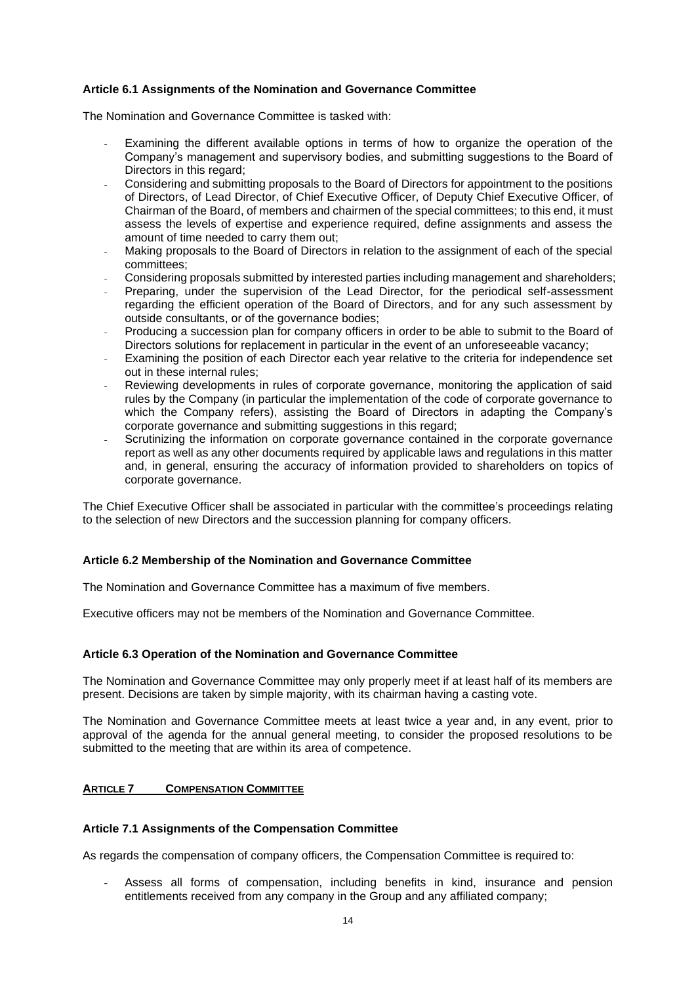# **Article 6.1 Assignments of the Nomination and Governance Committee**

The Nomination and Governance Committee is tasked with:

- Examining the different available options in terms of how to organize the operation of the Company's management and supervisory bodies, and submitting suggestions to the Board of Directors in this regard;
- Considering and submitting proposals to the Board of Directors for appointment to the positions of Directors, of Lead Director, of Chief Executive Officer, of Deputy Chief Executive Officer, of Chairman of the Board, of members and chairmen of the special committees; to this end, it must assess the levels of expertise and experience required, define assignments and assess the amount of time needed to carry them out;
- Making proposals to the Board of Directors in relation to the assignment of each of the special committees;
- Considering proposals submitted by interested parties including management and shareholders;
- Preparing, under the supervision of the Lead Director, for the periodical self-assessment regarding the efficient operation of the Board of Directors, and for any such assessment by outside consultants, or of the governance bodies;
- Producing a succession plan for company officers in order to be able to submit to the Board of Directors solutions for replacement in particular in the event of an unforeseeable vacancy;
- Examining the position of each Director each year relative to the criteria for independence set out in these internal rules;
- Reviewing developments in rules of corporate governance, monitoring the application of said rules by the Company (in particular the implementation of the code of corporate governance to which the Company refers), assisting the Board of Directors in adapting the Company's corporate governance and submitting suggestions in this regard;
- Scrutinizing the information on corporate governance contained in the corporate governance report as well as any other documents required by applicable laws and regulations in this matter and, in general, ensuring the accuracy of information provided to shareholders on topics of corporate governance.

The Chief Executive Officer shall be associated in particular with the committee's proceedings relating to the selection of new Directors and the succession planning for company officers.

### **Article 6.2 Membership of the Nomination and Governance Committee**

The Nomination and Governance Committee has a maximum of five members.

Executive officers may not be members of the Nomination and Governance Committee.

### **Article 6.3 Operation of the Nomination and Governance Committee**

The Nomination and Governance Committee may only properly meet if at least half of its members are present. Decisions are taken by simple majority, with its chairman having a casting vote.

The Nomination and Governance Committee meets at least twice a year and, in any event, prior to approval of the agenda for the annual general meeting, to consider the proposed resolutions to be submitted to the meeting that are within its area of competence.

### **ARTICLE 7 COMPENSATION COMMITTEE**

### **Article 7.1 Assignments of the Compensation Committee**

As regards the compensation of company officers, the Compensation Committee is required to:

- Assess all forms of compensation, including benefits in kind, insurance and pension entitlements received from any company in the Group and any affiliated company;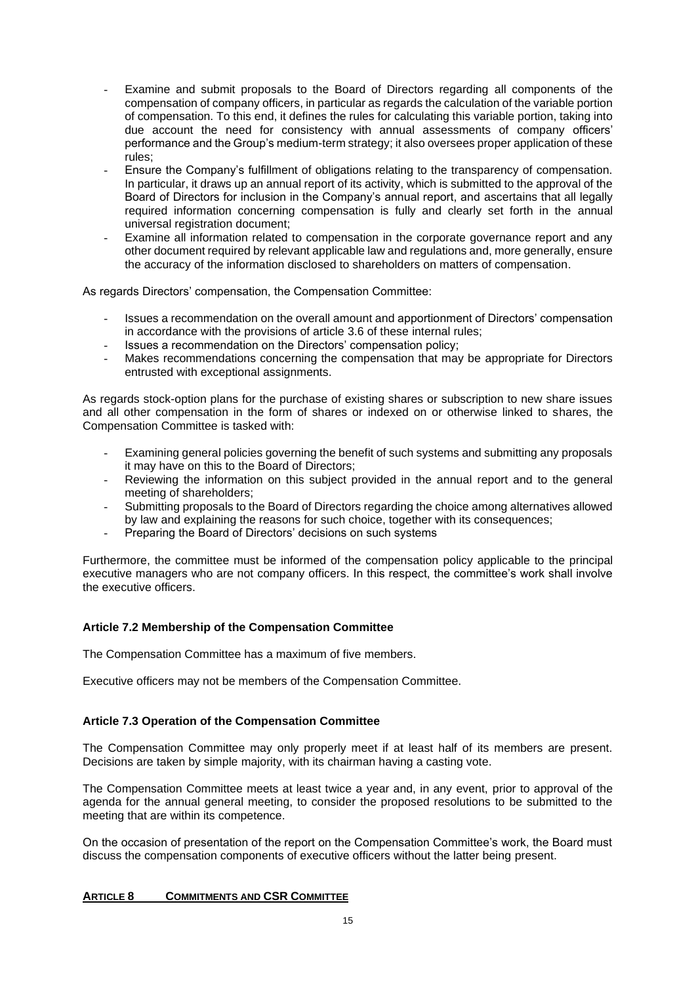- Examine and submit proposals to the Board of Directors regarding all components of the compensation of company officers, in particular as regards the calculation of the variable portion of compensation. To this end, it defines the rules for calculating this variable portion, taking into due account the need for consistency with annual assessments of company officers' performance and the Group's medium-term strategy; it also oversees proper application of these rules;
- Ensure the Company's fulfillment of obligations relating to the transparency of compensation. In particular, it draws up an annual report of its activity, which is submitted to the approval of the Board of Directors for inclusion in the Company's annual report, and ascertains that all legally required information concerning compensation is fully and clearly set forth in the annual universal registration document;
- Examine all information related to compensation in the corporate governance report and any other document required by relevant applicable law and regulations and, more generally, ensure the accuracy of the information disclosed to shareholders on matters of compensation.

As regards Directors' compensation, the Compensation Committee:

- Issues a recommendation on the overall amount and apportionment of Directors' compensation in accordance with the provisions of article 3.6 of these internal rules;
- Issues a recommendation on the Directors' compensation policy;
- Makes recommendations concerning the compensation that may be appropriate for Directors entrusted with exceptional assignments.

As regards stock-option plans for the purchase of existing shares or subscription to new share issues and all other compensation in the form of shares or indexed on or otherwise linked to shares, the Compensation Committee is tasked with:

- Examining general policies governing the benefit of such systems and submitting any proposals it may have on this to the Board of Directors;
- Reviewing the information on this subject provided in the annual report and to the general meeting of shareholders;
- Submitting proposals to the Board of Directors regarding the choice among alternatives allowed by law and explaining the reasons for such choice, together with its consequences;
- Preparing the Board of Directors' decisions on such systems

Furthermore, the committee must be informed of the compensation policy applicable to the principal executive managers who are not company officers. In this respect, the committee's work shall involve the executive officers.

# **Article 7.2 Membership of the Compensation Committee**

The Compensation Committee has a maximum of five members.

Executive officers may not be members of the Compensation Committee.

# **Article 7.3 Operation of the Compensation Committee**

The Compensation Committee may only properly meet if at least half of its members are present. Decisions are taken by simple majority, with its chairman having a casting vote.

The Compensation Committee meets at least twice a year and, in any event, prior to approval of the agenda for the annual general meeting, to consider the proposed resolutions to be submitted to the meeting that are within its competence.

On the occasion of presentation of the report on the Compensation Committee's work, the Board must discuss the compensation components of executive officers without the latter being present.

# **ARTICLE 8 COMMITMENTS AND CSR COMMITTEE**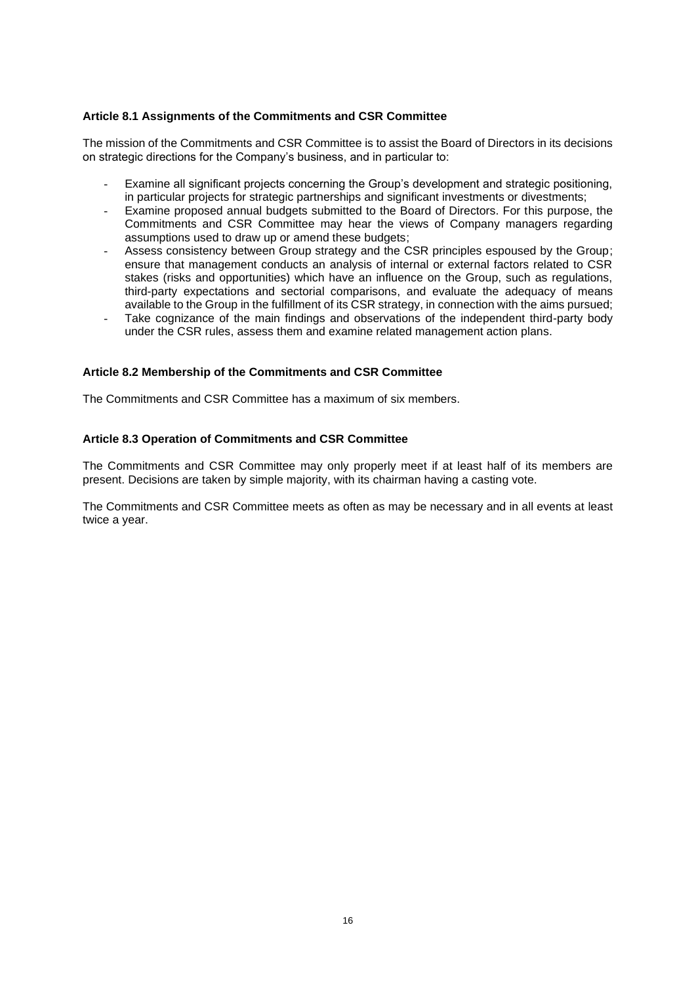# **Article 8.1 Assignments of the Commitments and CSR Committee**

The mission of the Commitments and CSR Committee is to assist the Board of Directors in its decisions on strategic directions for the Company's business, and in particular to:

- Examine all significant projects concerning the Group's development and strategic positioning. in particular projects for strategic partnerships and significant investments or divestments;
- Examine proposed annual budgets submitted to the Board of Directors. For this purpose, the Commitments and CSR Committee may hear the views of Company managers regarding assumptions used to draw up or amend these budgets;
- Assess consistency between Group strategy and the CSR principles espoused by the Group; ensure that management conducts an analysis of internal or external factors related to CSR stakes (risks and opportunities) which have an influence on the Group, such as regulations, third-party expectations and sectorial comparisons, and evaluate the adequacy of means available to the Group in the fulfillment of its CSR strategy, in connection with the aims pursued;
- Take cognizance of the main findings and observations of the independent third-party body under the CSR rules, assess them and examine related management action plans.

### **Article 8.2 Membership of the Commitments and CSR Committee**

The Commitments and CSR Committee has a maximum of six members.

### **Article 8.3 Operation of Commitments and CSR Committee**

The Commitments and CSR Committee may only properly meet if at least half of its members are present. Decisions are taken by simple majority, with its chairman having a casting vote.

The Commitments and CSR Committee meets as often as may be necessary and in all events at least twice a year.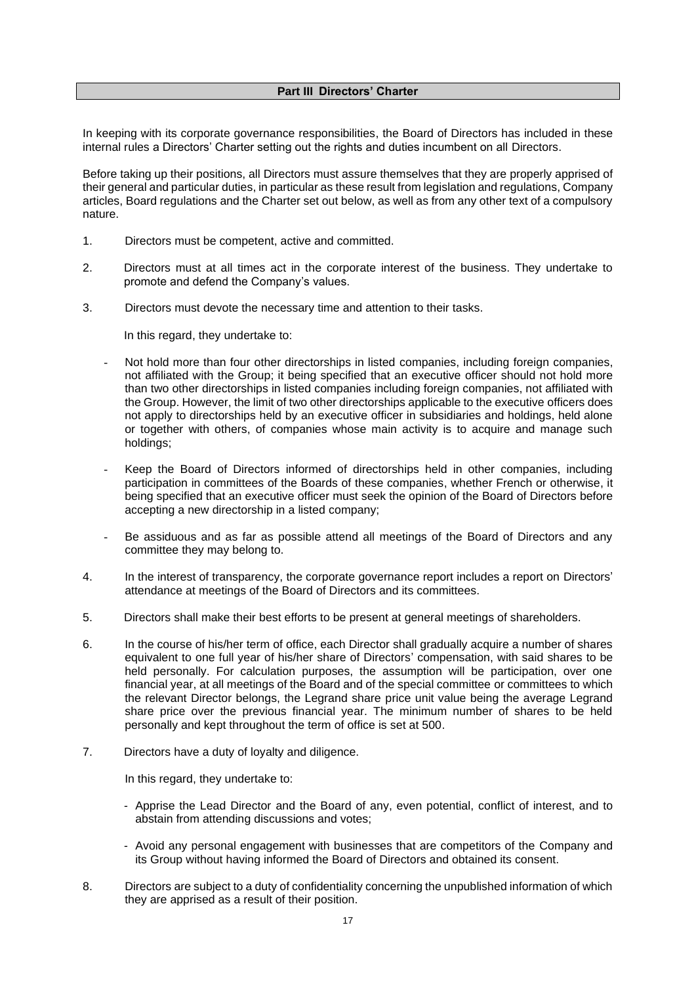### **Part III Directors' Charter**

In keeping with its corporate governance responsibilities, the Board of Directors has included in these internal rules a Directors' Charter setting out the rights and duties incumbent on all Directors.

Before taking up their positions, all Directors must assure themselves that they are properly apprised of their general and particular duties, in particular as these result from legislation and regulations, Company articles, Board regulations and the Charter set out below, as well as from any other text of a compulsory nature.

- 1. Directors must be competent, active and committed.
- 2. Directors must at all times act in the corporate interest of the business. They undertake to promote and defend the Company's values.
- 3. Directors must devote the necessary time and attention to their tasks.

In this regard, they undertake to:

- Not hold more than four other directorships in listed companies, including foreign companies, not affiliated with the Group; it being specified that an executive officer should not hold more than two other directorships in listed companies including foreign companies, not affiliated with the Group. However, the limit of two other directorships applicable to the executive officers does not apply to directorships held by an executive officer in subsidiaries and holdings, held alone or together with others, of companies whose main activity is to acquire and manage such holdings;
- Keep the Board of Directors informed of directorships held in other companies, including participation in committees of the Boards of these companies, whether French or otherwise, it being specified that an executive officer must seek the opinion of the Board of Directors before accepting a new directorship in a listed company;
- Be assiduous and as far as possible attend all meetings of the Board of Directors and any committee they may belong to.
- 4. In the interest of transparency, the corporate governance report includes a report on Directors' attendance at meetings of the Board of Directors and its committees.
- 5. Directors shall make their best efforts to be present at general meetings of shareholders.
- 6. In the course of his/her term of office, each Director shall gradually acquire a number of shares equivalent to one full year of his/her share of Directors' compensation, with said shares to be held personally. For calculation purposes, the assumption will be participation, over one financial year, at all meetings of the Board and of the special committee or committees to which the relevant Director belongs, the Legrand share price unit value being the average Legrand share price over the previous financial year. The minimum number of shares to be held personally and kept throughout the term of office is set at 500.
- 7. Directors have a duty of loyalty and diligence.

In this regard, they undertake to:

- Apprise the Lead Director and the Board of any, even potential, conflict of interest, and to abstain from attending discussions and votes;
- Avoid any personal engagement with businesses that are competitors of the Company and its Group without having informed the Board of Directors and obtained its consent.
- 8. Directors are subject to a duty of confidentiality concerning the unpublished information of which they are apprised as a result of their position.